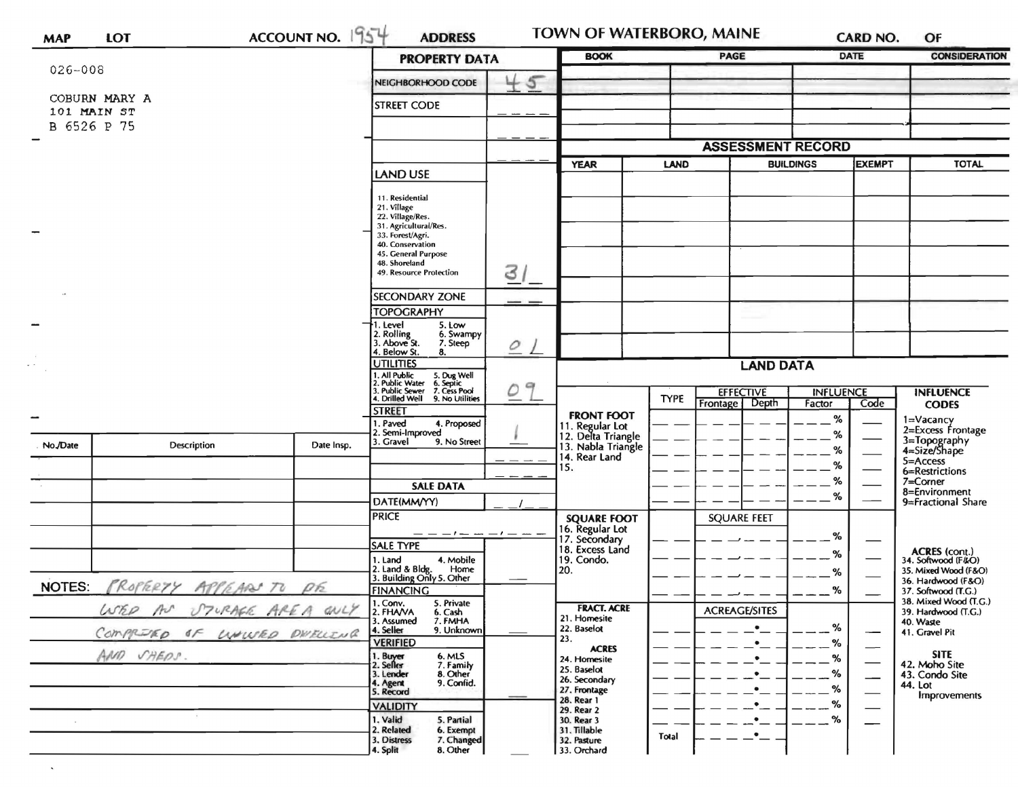| <b>MAP</b>    | <b>LOT</b>                   | ACCOUNT NO. 1954            | <b>ADDRESS</b>                                                                        |               | TOWN OF WATERBORO, MAINE                                    |             |                                       |                            | <b>CARD NO.</b>               | OF                                                        |
|---------------|------------------------------|-----------------------------|---------------------------------------------------------------------------------------|---------------|-------------------------------------------------------------|-------------|---------------------------------------|----------------------------|-------------------------------|-----------------------------------------------------------|
|               |                              |                             | <b>PROPERTY DATA</b>                                                                  |               | <b>BOOK</b>                                                 |             | PAGE                                  |                            | <b>DATE</b>                   | <b>CONSIDERATION</b>                                      |
| 026-008       |                              |                             | NEIGHBORHOOD CODE                                                                     | 45            |                                                             |             |                                       |                            |                               |                                                           |
|               | COBURN MARY A<br>101 MAIN ST |                             | <b>STREET CODE</b>                                                                    |               |                                                             |             |                                       |                            |                               |                                                           |
|               | B 6526 P 75                  |                             |                                                                                       |               |                                                             |             |                                       |                            |                               |                                                           |
|               |                              |                             |                                                                                       |               |                                                             |             | <b>ASSESSMENT RECORD</b>              |                            |                               |                                                           |
|               |                              |                             | <b>LAND USE</b>                                                                       |               | <b>YEAR</b>                                                 | <b>LAND</b> |                                       | <b>BUILDINGS</b>           | <b>EXEMPT</b>                 | <b>TOTAL</b>                                              |
|               |                              |                             | 11. Residential<br>21. Village                                                        |               |                                                             |             |                                       |                            |                               |                                                           |
|               |                              |                             | 22. Village/Res.<br>31. Agricultural/Res.                                             |               |                                                             |             |                                       |                            |                               |                                                           |
|               |                              |                             | 33. Forest/Agri.<br>40. Conservation                                                  |               |                                                             |             |                                       |                            |                               |                                                           |
|               |                              |                             | 45. General Purpose<br>48. Shoreland<br>49. Resource Protection                       | 31            |                                                             |             |                                       |                            |                               |                                                           |
|               |                              |                             |                                                                                       |               |                                                             |             |                                       |                            |                               |                                                           |
|               |                              |                             | <b>SECONDARY ZONE</b><br><b>TOPOGRAPHY</b>                                            |               |                                                             |             |                                       |                            |                               |                                                           |
|               |                              |                             | 5. Low<br>l. Level<br>2. Rolling<br>3. Above St.<br>6. Swampy                         |               |                                                             |             |                                       |                            |                               |                                                           |
|               |                              |                             | 7. Steep<br>4. Below St.<br>8.                                                        | 0             |                                                             |             |                                       |                            |                               |                                                           |
|               |                              |                             | <b>UTILITIES</b><br>5. Dug Well<br>6. Septic<br>7. Cess Pool                          |               |                                                             |             | <b>LAND DATA</b>                      |                            |                               |                                                           |
|               |                              |                             | . All Public<br>. Public Water<br>. Public Sewer<br>. Drilled Well<br>9. No Utilities | $\rightarrow$ |                                                             | <b>TYPE</b> | <b>EFFECTIVE</b><br>Depth<br>Frontage | <b>INFLUENCE</b><br>Factor | Code                          | <b>INFLUENCE</b><br><b>CODES</b>                          |
|               |                              |                             | <b>STREET</b><br>. Paved<br>4. Proposed                                               |               | <b>FRONT FOOT</b>                                           |             |                                       | %                          |                               | 1=Vacancy                                                 |
| No./Date      | <b>Description</b>           | Date Insp.                  | . Semi-Improved<br>9. No Street<br>3. Gravel                                          |               | 11. Regular Lot<br>12. Delta Triangle<br>13. Nabla Triangle |             |                                       | %<br>%                     |                               | 2=Excess Frontage<br>3=Topography<br>4=Size/Shape         |
|               |                              |                             |                                                                                       |               | 14. Rear Land<br>15.                                        |             |                                       | $\%$                       |                               | 5=Access<br>6=Restrictions                                |
|               |                              |                             | <b>SALE DATA</b>                                                                      |               |                                                             |             |                                       | $\%$                       |                               | $7=Corner$<br>8=Environment                               |
|               |                              |                             | DATE(MM/YY)                                                                           |               |                                                             |             |                                       | %                          |                               | 9=Fractional Share                                        |
|               |                              |                             | <b>PRICE</b>                                                                          |               | <b>SQUARE FOOT</b><br>16. Regular Lot                       |             | <b>SQUARE FEET</b>                    |                            |                               |                                                           |
|               |                              |                             | <b>SALE TYPE</b>                                                                      |               | 17. Secondary<br>18. Excess Land                            |             |                                       | %<br>%                     |                               | <b>ACRES</b> (cont.)                                      |
|               |                              |                             | 1. Land<br>4. Mobile<br>2. Land & Bldg. Home<br>3. Building Only 5. Other<br>Home     |               | 19. Condo.<br>20.                                           |             |                                       | %                          |                               | 34. Softwood (F&O)<br>35. Mixed Wood (F&O)                |
| <b>NOTES:</b> | PROPERTY APPEARS TO PE       |                             | <b>FINANCING</b>                                                                      |               |                                                             |             |                                       | %                          |                               | 36. Hardwood (F&O)<br>37. Softwood (T.G.)                 |
|               |                              | WER AN UTURAGE AREA ONLY    | 1. Conv.<br>5. Private<br>2. FHAVA<br>6. Cash<br>3. Assumed<br>7. FMHA                |               | <b>FRACT. ACRE</b><br>21. Homesite                          |             | <b>ACREAGE/SITES</b>                  |                            |                               | 38. Mixed Wood (T.G.)<br>39. Hardwood (T.G.)<br>40. Waste |
|               |                              | COMPRIED OF LUNWED DWELLING | 4. Seller<br>9. Unknown<br><b>VERIFIED</b>                                            |               | 22. Baselot<br>23.                                          |             | $\bullet$                             | %<br>%                     |                               | 41. Gravel Pit                                            |
|               | AND SHEDS.                   |                             | 1. Buyer<br>2. Seller<br>6. MLS<br>7. Family                                          |               | <b>ACRES</b><br>24. Homesite                                |             |                                       | %                          | -<br>$\overline{\phantom{0}}$ | <b>SITE</b><br>42. Moho Site                              |
|               |                              |                             | 8. Other<br>3. Lender<br>9. Confid.<br>4. Agent                                       |               | 25. Baselot<br>26. Secondary                                |             | $\bullet$                             | %                          | $\overline{\phantom{0}}$      | 43. Condo Site<br>44. Lot                                 |
|               |                              |                             | 5. Record<br><b>VALIDITY</b>                                                          |               | 27. Frontage<br>28. Rear 1                                  |             | $\bullet$<br>$\bullet$                | %<br>℅                     | $\overline{\phantom{0}}$      | <b>Improvements</b>                                       |
|               | $\sim$                       |                             | 1. Valid<br>5. Partial                                                                |               | 29. Rear 2<br>30. Rear 3                                    |             |                                       | %                          | $\qquad \qquad$               |                                                           |
|               |                              |                             | 2. Related<br>6. Exempt<br>3. Distress<br>7. Changed<br>4. Split<br>8. Other          |               | 31. Tillable<br>32. Pasture<br>33. Orchard                  | Total       | $\bullet$                             |                            |                               |                                                           |

 $\hat{\phantom{a}}$